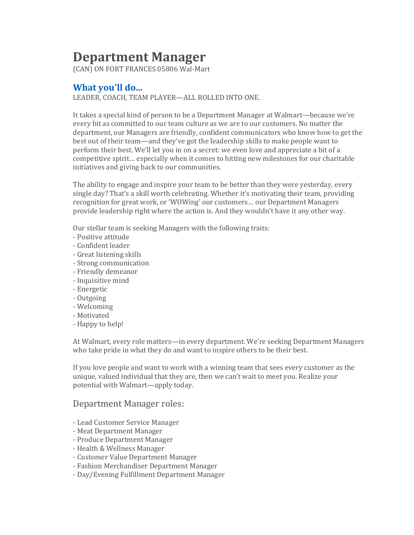# **Department Manager**

(CAN) ON FORT FRANCES 05806 Wal-Mart

## **What you'll do...**

LEADER, COACH, TEAM PLAYER—ALL ROLLED INTO ONE.

It takes a special kind of person to be a Department Manager at Walmart—because we're every bit as committed to our team culture as we are to our customers. No matter the department, our Managers are friendly, confident communicators who know how to get the best out of their team—and they've got the leadership skills to make people want to perform their best. We'll let you in on a secret: we even love and appreciate a bit of a competitive spirit… especially when it comes to hitting new milestones for our charitable initiatives and giving back to our communities.

The ability to engage and inspire your team to be better than they were yesterday, every single day? That's a skill worth celebrating. Whether it's motivating their team, providing recognition for great work, or 'WOWing' our customers… our Department Managers provide leadership right where the action is. And they wouldn't have it any other way.

Our stellar team is seeking Managers with the following traits:

- Positive attitude
- Confident leader
- Great listening skills
- Strong communication
- Friendly demeanor
- Inquisitive mind
- Energetic
- Outgoing
- Welcoming
- Motivated
- Happy to help!

At Walmart, every role matters—in every department. We're seeking Department Managers who take pride in what they do and want to inspire others to be their best.

If you love people and want to work with a winning team that sees every customer as the unique, valued individual that they are, then we can't wait to meet you. Realize your potential with Walmart—apply today.

### Department Manager roles:

- Lead Customer Service Manager
- Meat Department Manager
- Produce Department Manager
- Health & Wellness Manager
- Customer Value Department Manager
- Fashion Merchandiser Department Manager
- Day/Evening Fulfillment Department Manager